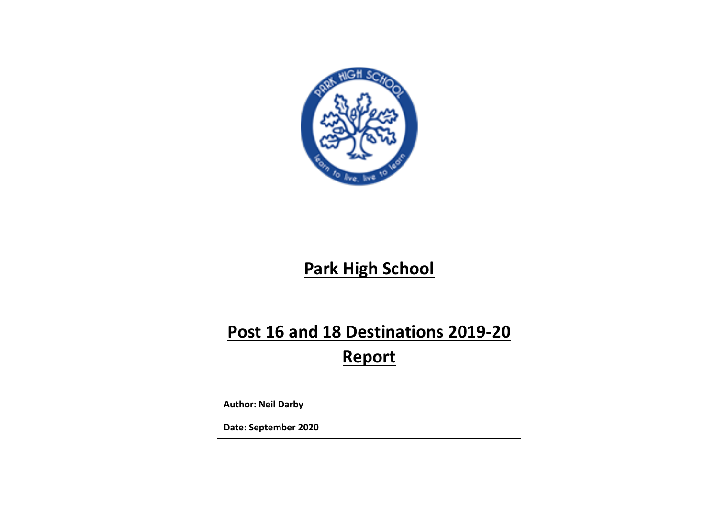

## **Park High School**

# **Post 16 and 18 Destinations 2019-20**

## **Report**

**Author: Neil Darby**

**Date: September 2020**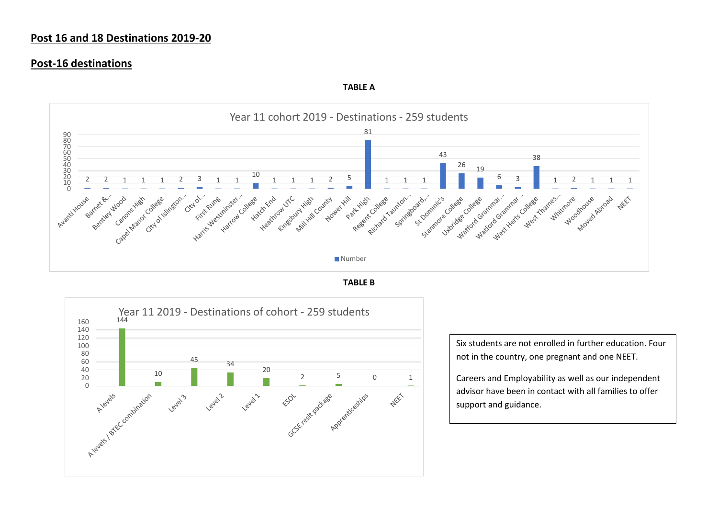#### **Post 16 and 18 Destinations 2019-20**

#### **Post-16 destinations**



**TABLE A**





Six students are not enrolled in further education. Four not in the country, one pregnant and one NEET.

Careers and Employability as well as our independent advisor have been in contact with all families to offer support and guidance.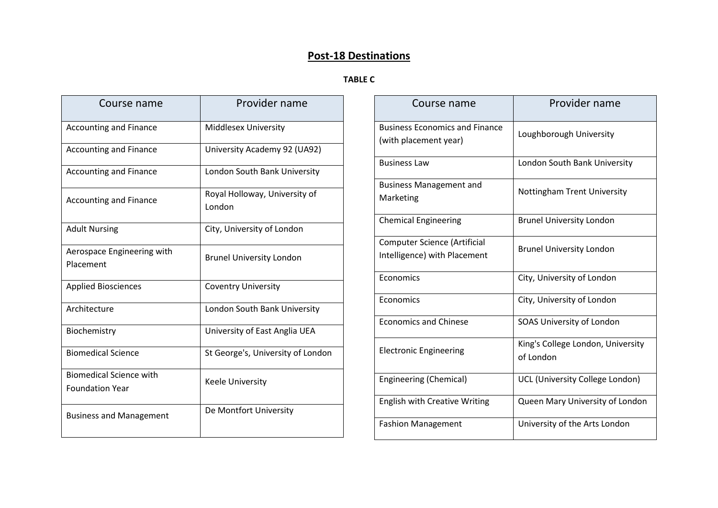### **Post-18 Destinations**

#### **TABLE C**

| Course name                                              | Provider name                           |
|----------------------------------------------------------|-----------------------------------------|
| <b>Accounting and Finance</b>                            | <b>Middlesex University</b>             |
| <b>Accounting and Finance</b>                            | University Academy 92 (UA92)            |
| <b>Accounting and Finance</b>                            | London South Bank University            |
| <b>Accounting and Finance</b>                            | Royal Holloway, University of<br>London |
| <b>Adult Nursing</b>                                     | City, University of London              |
| Aerospace Engineering with<br>Placement                  | <b>Brunel University London</b>         |
| <b>Applied Biosciences</b>                               | <b>Coventry University</b>              |
| Architecture                                             | London South Bank University            |
| Biochemistry                                             | University of East Anglia UEA           |
| <b>Biomedical Science</b>                                | St George's, University of London       |
| <b>Biomedical Science with</b><br><b>Foundation Year</b> | <b>Keele University</b>                 |
| <b>Business and Management</b>                           | De Montfort University                  |

| Course name                                                    | Provider name                                  |
|----------------------------------------------------------------|------------------------------------------------|
| <b>Business Economics and Finance</b><br>(with placement year) | Loughborough University                        |
| <b>Business Law</b>                                            | London South Bank University                   |
| <b>Business Management and</b><br>Marketing                    | Nottingham Trent University                    |
| <b>Chemical Engineering</b>                                    | <b>Brunel University London</b>                |
| Computer Science (Artificial<br>Intelligence) with Placement   | <b>Brunel University London</b>                |
| Economics                                                      | City, University of London                     |
| Economics                                                      | City, University of London                     |
| <b>Economics and Chinese</b>                                   | SOAS University of London                      |
| <b>Electronic Engineering</b>                                  | King's College London, University<br>of London |
| Engineering (Chemical)                                         | UCL (University College London)                |
| <b>English with Creative Writing</b>                           | Queen Mary University of London                |
| <b>Fashion Management</b>                                      | University of the Arts London                  |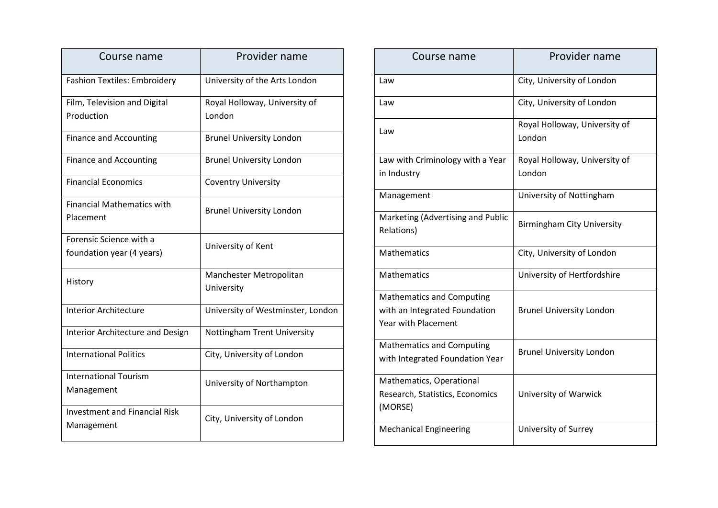| Course name                          | Provider name                      |
|--------------------------------------|------------------------------------|
| <b>Fashion Textiles: Embroidery</b>  | University of the Arts London      |
| Film, Television and Digital         | Royal Holloway, University of      |
| Production                           | London                             |
| <b>Finance and Accounting</b>        | <b>Brunel University London</b>    |
| <b>Finance and Accounting</b>        | <b>Brunel University London</b>    |
| <b>Financial Economics</b>           | <b>Coventry University</b>         |
| <b>Financial Mathematics with</b>    | <b>Brunel University London</b>    |
| Placement                            |                                    |
| Forensic Science with a              | University of Kent                 |
| foundation year (4 years)            |                                    |
| History                              | Manchester Metropolitan            |
|                                      | University                         |
| <b>Interior Architecture</b>         | University of Westminster, London  |
| Interior Architecture and Design     | <b>Nottingham Trent University</b> |
| <b>International Politics</b>        | City, University of London         |
| <b>International Tourism</b>         | University of Northampton          |
| Management                           |                                    |
| <b>Investment and Financial Risk</b> | City, University of London         |
| Management                           |                                    |

| Course name                                     | Provider name                           |
|-------------------------------------------------|-----------------------------------------|
| Law                                             | City, University of London              |
| Law                                             | City, University of London              |
| Law                                             | Royal Holloway, University of<br>London |
| Law with Criminology with a Year                | Royal Holloway, University of           |
| in Industry                                     | London                                  |
| Management                                      | University of Nottingham                |
| Marketing (Advertising and Public<br>Relations) | <b>Birmingham City University</b>       |
| <b>Mathematics</b>                              | City, University of London              |
| <b>Mathematics</b>                              | University of Hertfordshire             |
| <b>Mathematics and Computing</b>                |                                         |
| with an Integrated Foundation                   | <b>Brunel University London</b>         |
| <b>Year with Placement</b>                      |                                         |
| <b>Mathematics and Computing</b>                | <b>Brunel University London</b>         |
| with Integrated Foundation Year                 |                                         |
| Mathematics, Operational                        |                                         |
| Research, Statistics, Economics                 | University of Warwick                   |
| (MORSE)                                         |                                         |
| <b>Mechanical Engineering</b>                   | University of Surrey                    |
|                                                 |                                         |